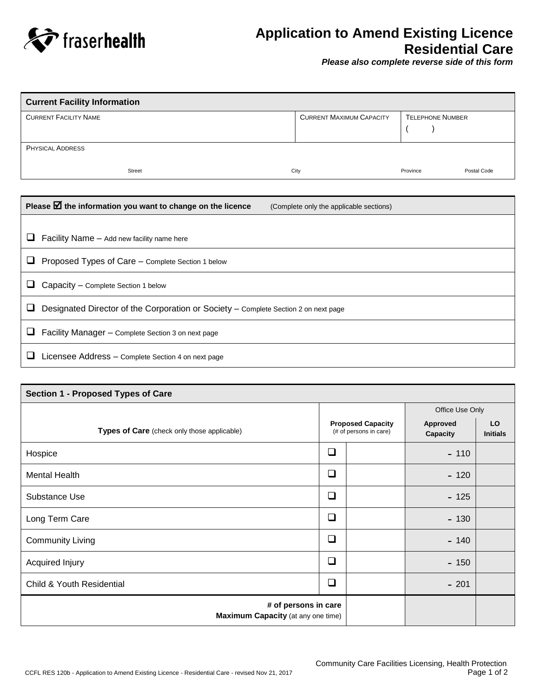

## **Application to Amend Existing Licence Residential Care**

*Please also complete reverse side of this form*

| <b>Current Facility Information</b> |                                 |                         |             |  |  |
|-------------------------------------|---------------------------------|-------------------------|-------------|--|--|
| <b>CURRENT FACILITY NAME</b>        | <b>CURRENT MAXIMUM CAPACITY</b> | <b>TELEPHONE NUMBER</b> |             |  |  |
|                                     |                                 |                         |             |  |  |
| <b>PHYSICAL ADDRESS</b>             |                                 |                         |             |  |  |
| Street                              | City                            | Province                | Postal Code |  |  |

|   | Please $\boxtimes$ the information you want to change on the licence<br>(Complete only the applicable sections) |
|---|-----------------------------------------------------------------------------------------------------------------|
|   |                                                                                                                 |
| ⊔ | Facility Name - Add new facility name here                                                                      |
| ⊔ | Proposed Types of Care - Complete Section 1 below                                                               |
|   | Capacity - Complete Section 1 below                                                                             |
|   | Designated Director of the Corporation or Society - Complete Section 2 on next page                             |
| ⊔ | Facility Manager - Complete Section 3 on next page                                                              |
|   | Licensee Address - Complete Section 4 on next page                                                              |

| Section 1 - Proposed Types of Care                                |                                                    |  |                             |                       |  |
|-------------------------------------------------------------------|----------------------------------------------------|--|-----------------------------|-----------------------|--|
|                                                                   | <b>Proposed Capacity</b><br>(# of persons in care) |  | Office Use Only             |                       |  |
| Types of Care (check only those applicable)                       |                                                    |  | <b>Approved</b><br>Capacity | LO<br><b>Initials</b> |  |
| Hospice                                                           | ❏                                                  |  | $-110$                      |                       |  |
| Mental Health                                                     | $\Box$                                             |  | $-120$                      |                       |  |
| Substance Use                                                     | ❏                                                  |  | $-125$                      |                       |  |
| Long Term Care                                                    | ❏                                                  |  | $-130$                      |                       |  |
| <b>Community Living</b>                                           | $\Box$                                             |  | $-140$                      |                       |  |
| Acquired Injury                                                   | ◻                                                  |  | $-150$                      |                       |  |
| <b>Child &amp; Youth Residential</b>                              | ❏                                                  |  | $-201$                      |                       |  |
| # of persons in care<br><b>Maximum Capacity</b> (at any one time) |                                                    |  |                             |                       |  |